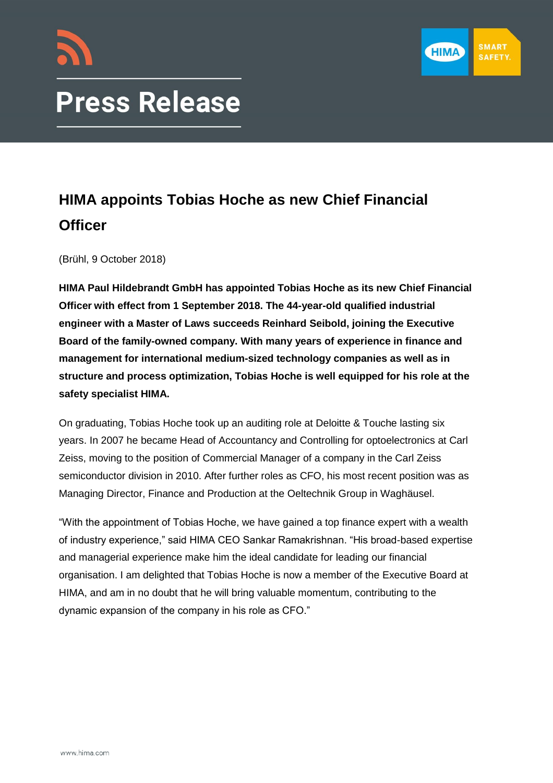

# **Press Release**

# **HIMA appoints Tobias Hoche as new Chief Financial Officer**

(Brühl, 9 October 2018)

**HIMA Paul Hildebrandt GmbH has appointed Tobias Hoche as its new Chief Financial Officer with effect from 1 September 2018. The 44-year-old qualified industrial engineer with a Master of Laws succeeds Reinhard Seibold, joining the Executive Board of the family-owned company. With many years of experience in finance and management for international medium-sized technology companies as well as in structure and process optimization, Tobias Hoche is well equipped for his role at the safety specialist HIMA.**

On graduating, Tobias Hoche took up an auditing role at Deloitte & Touche lasting six years. In 2007 he became Head of Accountancy and Controlling for optoelectronics at Carl Zeiss, moving to the position of Commercial Manager of a company in the Carl Zeiss semiconductor division in 2010. After further roles as CFO, his most recent position was as Managing Director, Finance and Production at the Oeltechnik Group in Waghäusel.

"With the appointment of Tobias Hoche, we have gained a top finance expert with a wealth of industry experience," said HIMA CEO Sankar Ramakrishnan. "His broad-based expertise and managerial experience make him the ideal candidate for leading our financial organisation. I am delighted that Tobias Hoche is now a member of the Executive Board at HIMA, and am in no doubt that he will bring valuable momentum, contributing to the dynamic expansion of the company in his role as CFO."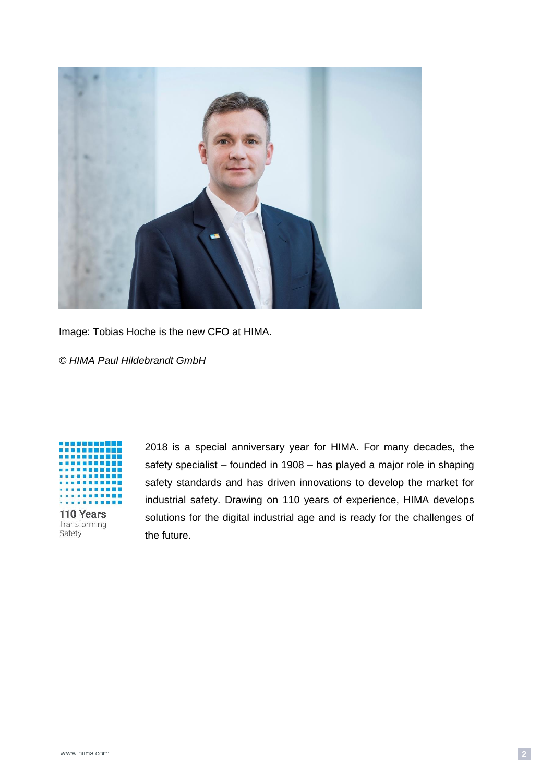

Image: Tobias Hoche is the new CFO at HIMA.

*© HIMA Paul Hildebrandt GmbH*



2018 is a special anniversary year for HIMA. For many decades, the safety specialist – founded in 1908 – has played a major role in shaping safety standards and has driven innovations to develop the market for industrial safety. Drawing on 110 years of experience, HIMA develops solutions for the digital industrial age and is ready for the challenges of the future.